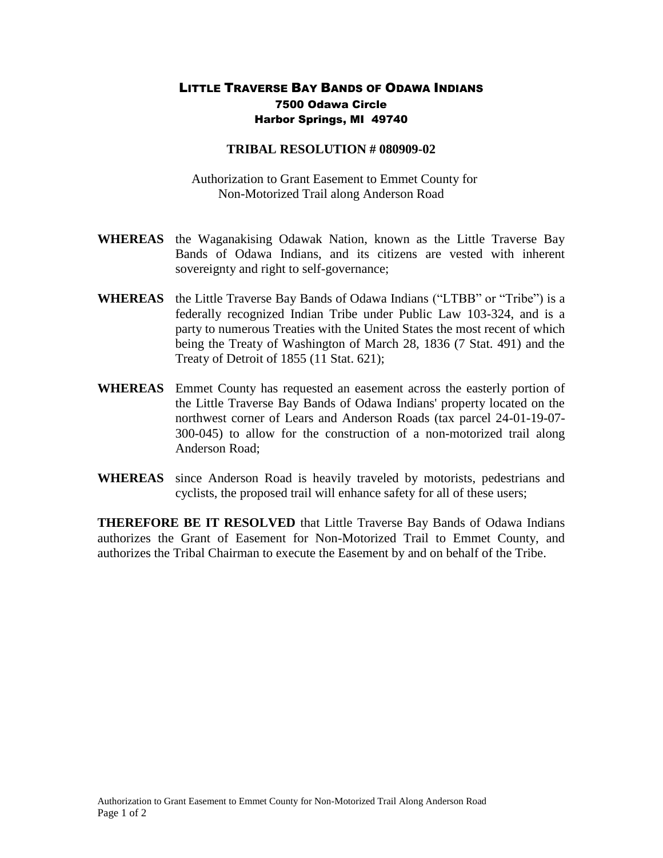## LITTLE TRAVERSE BAY BANDS OF ODAWA INDIANS 7500 Odawa Circle Harbor Springs, MI 49740

## **TRIBAL RESOLUTION # 080909-02**

 Authorization to Grant Easement to Emmet County for Non-Motorized Trail along Anderson Road

- **WHEREAS** the Waganakising Odawak Nation, known as the Little Traverse Bay Bands of Odawa Indians, and its citizens are vested with inherent sovereignty and right to self-governance;
- **WHEREAS** the Little Traverse Bay Bands of Odawa Indians ("LTBB" or "Tribe") is a federally recognized Indian Tribe under Public Law 103-324, and is a party to numerous Treaties with the United States the most recent of which being the Treaty of Washington of March 28, 1836 (7 Stat. 491) and the Treaty of Detroit of 1855 (11 Stat. 621);
- **WHEREAS** Emmet County has requested an easement across the easterly portion of the Little Traverse Bay Bands of Odawa Indians' property located on the northwest corner of Lears and Anderson Roads (tax parcel 24-01-19-07- 300-045) to allow for the construction of a non-motorized trail along Anderson Road;
- **WHEREAS** since Anderson Road is heavily traveled by motorists, pedestrians and cyclists, the proposed trail will enhance safety for all of these users;

**THEREFORE BE IT RESOLVED** that Little Traverse Bay Bands of Odawa Indians authorizes the Grant of Easement for Non-Motorized Trail to Emmet County, and authorizes the Tribal Chairman to execute the Easement by and on behalf of the Tribe.